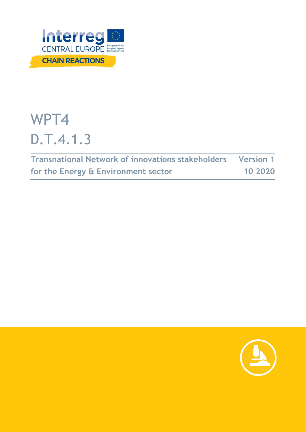

# WPT4 D.T.4.1.3

| Transnational Network of innovations stakeholders Version 1 |         |
|-------------------------------------------------------------|---------|
| for the Energy & Environment sector                         | 10 2020 |

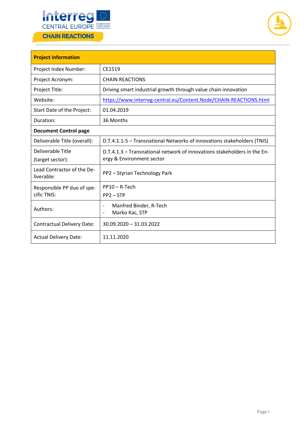



| <b>Project information</b>                |                                                                                                       |  |
|-------------------------------------------|-------------------------------------------------------------------------------------------------------|--|
| Project Index Number:                     | CE1519                                                                                                |  |
| Project Acronym:                          | <b>CHAIN REACTIONS</b>                                                                                |  |
| Project Title:                            | Driving smart industrial growth through value chain innovation                                        |  |
| Website:                                  | https://www.interreg-central.eu/Content.Node/CHAIN-REACTIONS.html                                     |  |
| Start Date of the Project:                | 01.04.2019                                                                                            |  |
| Duration:                                 | 36 Months                                                                                             |  |
| <b>Document Control page</b>              |                                                                                                       |  |
| Deliverable Title (overall):              | D.T.4.1.1-5 - Transnational Networks of innovations stakeholders (TNIS)                               |  |
| Deliverable Title<br>(target sector):     | D.T.4.1.3 – Transnational network of innovations stakeholders in the En-<br>ergy & Environment sector |  |
| Lead Contractor of the De-<br>liverable:  | PP2 - Styrian Technology Park                                                                         |  |
| Responsible PP duo of spe-<br>cific TNIS: | PP10-R-Tech<br>$PP2 - STP$                                                                            |  |
| Authors:                                  | Manfred Binder, R-Tech<br>$\overline{\phantom{a}}$<br>Marko Kac, STP<br>$\overline{\phantom{a}}$      |  |
| <b>Contractual Delivery Date:</b>         | $30.09.2020 - 31.03.2022$                                                                             |  |
| <b>Actual Delivery Date:</b>              | 11.11.2020                                                                                            |  |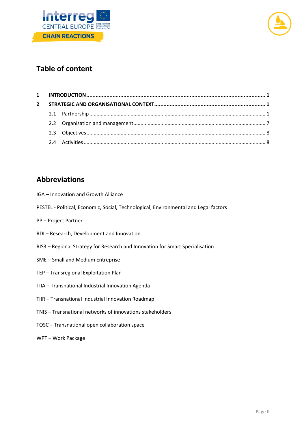



# **Table of content**

# **Abbreviations**

- IGA Innovation and Growth Alliance
- PESTEL Political, Economic, Social, Technological, Environmental and Legal factors
- PP Project Partner
- RDI Research, Development and Innovation
- RIS3 Regional Strategy for Research and Innovation for Smart Specialisation
- SME Small and Medium Entreprise
- TEP Transregional Exploitation Plan
- TIIA Transnational Industrial Innovation Agenda
- TIIR Transnational Industrial Innovation Roadmap
- TNIS Transnational networks of innovations stakeholders
- TOSC Transnational open collaboration space
- WPT Work Package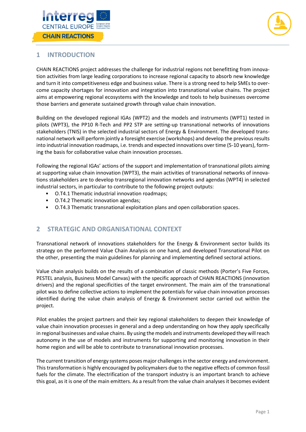



# <span id="page-3-0"></span>**1 INTRODUCTION**

CHAIN REACTIONS project addresses the challenge for industrial regions not benefitting from innovation activities from large leading corporations to increase regional capacity to absorb new knowledge and turn it into competitiveness edge and business value. There is a strong need to help SMEs to overcome capacity shortages for innovation and integration into transnational value chains. The project aims at empowering regional ecosystems with the knowledge and tools to help businesses overcome those barriers and generate sustained growth through value chain innovation.

Building on the developed regional IGAs (WPT2) and the models and instruments (WPT1) tested in pilots (WPT3), the PP10 R-Tech and PP2 STP are setting-up transnational networks of innovations stakeholders (TNIS) in the selected industrial sectors of Energy & Environment. The developed transnational network will perform jointly a foresight exercise (workshops) and develop the previous results into industrial innovation roadmaps, i.e. trends and expected innovations over time (5-10 years), forming the basis for collaborative value chain innovation processes.

Following the regional IGAs' actions of the support and implementation of transnational pilots aiming at supporting value chain innovation (WPT3), the main activities of transnational networks of innovations stakeholders are to develop transregional innovation networks and agendas (WPT4) in selected industrial sectors, in particular to contribute to the following project outputs:

- O.T4.1 Thematic industrial innovation roadmaps;
- O.T4.2 Thematic innovation agendas;
- O.T4.3 Thematic transnational exploitation plans and open collaboration spaces.

## <span id="page-3-1"></span>**2 STRATEGIC AND ORGANISATIONAL CONTEXT**

Transnational network of innovations stakeholders for the Energy & Environment sector builds its strategy on the performed Value Chain Analysis on one hand, and developed Transnational Pilot on the other, presenting the main guidelines for planning and implementing defined sectoral actions.

Value chain analysis builds on the results of a combination of classic methods (Porter's Five Forces, PESTEL analysis, Business Model Canvas) with the specific approach of CHAIN REACTIONS (innovation drivers) and the regional specificities of the target environment. The main aim of the transnational pilot was to define collective actions to implement the potentials for value chain innovation processes identified during the value chain analysis of Energy & Environment sector carried out within the project.

Pilot enables the project partners and their key regional stakeholders to deepen their knowledge of value chain innovation processes in general and a deep understanding on how they apply specifically in regional businesses and value chains. By using the models and instruments developed they will reach autonomy in the use of models and instruments for supporting and monitoring innovation in their home region and will be able to contribute to transnational innovation processes.

<span id="page-3-2"></span>The current transition of energy systems poses major challenges in the sector energy and environment. This transformation is highly encouraged by policymakers due to the negative effects of common fossil fuels for the climate. The electrification of the transport industry is an important branch to achieve this goal, as it is one of the main emitters. As a result from the value chain analyses it becomes evident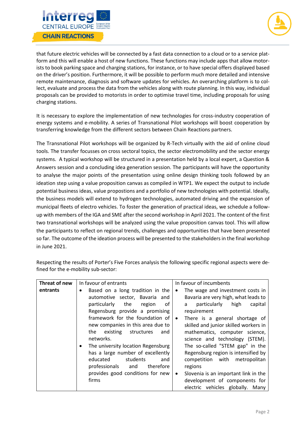



that future electric vehicles will be connected by a fast data connection to a cloud or to a service platform and this will enable a host of new functions. These functions may include apps that allow motorists to book parking space and charging stations, for instance, or to have special offers displayed based on the driver's position. Furthermore, it will be possible to perform much more detailed and intensive remote maintenance, diagnosis and software updates for vehicles. An overarching platform is to collect, evaluate and process the data from the vehicles along with route planning. In this way, individual proposals can be provided to motorists in order to optimise travel time, including proposals for using charging stations.

It is necessary to explore the implementation of new technologies for cross-industry cooperation of energy systems and e-mobility. A series of Transnational Pilot workshops will boost cooperation by transferring knowledge from the different sectors between Chain Reactions partners.

The Transnational Pilot workshops will be organized by R-Tech virtually with the aid of online cloud tools. The transfer focusses on cross sectoral topics, the sector electromobility and the sector energy systems. A typical workshop will be structured in a presentation held by a local expert, a Question & Answers session and a concluding idea generation session. The participants will have the opportunity to analyse the major points of the presentation using online design thinking tools followed by an ideation step using a value proposition canvas as compiled in WTP1. We expect the output to include potential business ideas, value propostions and a portfolio of new technologies with potential. Ideally, the business models will extend to hydrogen technologies, automated driving and the expansion of municipal fleets of electro vehicles. To foster the generation of practical ideas, we schedule a followup with members of the IGA and SME after the second workshop in April 2021. The content of the first two transnational workshops will be analyzed using the value proposition canvas tool. This will allow the participants to reflect on regional trends, challenges and opportunities that have been presented so far. The outcome of the ideation process will be presented to the stakeholders in the final workshop in June 2021.

| Threat of new | In favour of entrants                                                                                                                                                                                                                                                                                                                                                                                                                  | In favour of incumbents                                                                                                                                                                                                                                                                                                                                                                                                        |
|---------------|----------------------------------------------------------------------------------------------------------------------------------------------------------------------------------------------------------------------------------------------------------------------------------------------------------------------------------------------------------------------------------------------------------------------------------------|--------------------------------------------------------------------------------------------------------------------------------------------------------------------------------------------------------------------------------------------------------------------------------------------------------------------------------------------------------------------------------------------------------------------------------|
| entrants      | Based on a long tradition in the<br>٠<br>automotive sector, Bavaria and<br>particularly the<br>0f<br>region<br>Regensburg provide a promising<br>framework for the foundation of<br>new companies in this area due to<br>structures<br>the<br>existing<br>and<br>networks.<br>The university location Regensburg<br>$\bullet$<br>has a large number of excellently<br>students<br>educated<br>and<br>professionals<br>therefore<br>and | The wage and investment costs in<br>$\bullet$<br>Bavaria are very high, what leads to<br>particularly<br>high<br>capital<br>a<br>requirement<br>There is a general shortage of<br>$\bullet$<br>skilled and junior skilled workers in<br>mathematics, computer science,<br>science and technology (STEM).<br>The so-called "STEM gap" in the<br>Regensburg region is intensified by<br>competition with metropolitan<br>regions |
|               | provides good conditions for new<br>firms                                                                                                                                                                                                                                                                                                                                                                                              | Slovenia is an important link in the<br>$\bullet$<br>development of components for<br>electric vehicles globally. Many                                                                                                                                                                                                                                                                                                         |

Respecting the results of Porter's Five Forces analysis the following specific regional aspects were defined for the e-mobility sub-sector: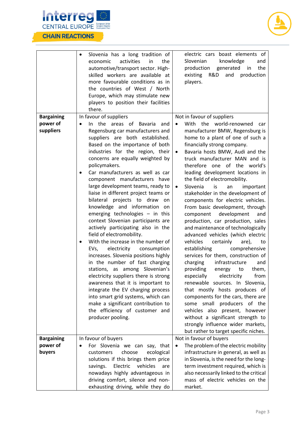



|                   | Slovenia has a long tradition of<br>activities<br>economic<br>in<br>the<br>automotive/transport sector. High-<br>skilled workers are available at<br>more favourable conditions as in<br>the countries of West / North<br>Europe, which may stimulate new<br>players to position their facilities<br>there.                                                                                                                                                                                                                                                                                                                                                                                                                                                                                                                                                                                                                                                                                                         | electric cars boast elements of<br>Slovenian<br>knowledge<br>and<br>production<br>generated<br>the<br>in<br>R&D<br>existing<br>and<br>production<br>players.                                                                                                                                                                                                                                                                                                                                                                                                                                                                                                                                                                                                                                                                                                                                                                                                                                                                                                                      |
|-------------------|---------------------------------------------------------------------------------------------------------------------------------------------------------------------------------------------------------------------------------------------------------------------------------------------------------------------------------------------------------------------------------------------------------------------------------------------------------------------------------------------------------------------------------------------------------------------------------------------------------------------------------------------------------------------------------------------------------------------------------------------------------------------------------------------------------------------------------------------------------------------------------------------------------------------------------------------------------------------------------------------------------------------|-----------------------------------------------------------------------------------------------------------------------------------------------------------------------------------------------------------------------------------------------------------------------------------------------------------------------------------------------------------------------------------------------------------------------------------------------------------------------------------------------------------------------------------------------------------------------------------------------------------------------------------------------------------------------------------------------------------------------------------------------------------------------------------------------------------------------------------------------------------------------------------------------------------------------------------------------------------------------------------------------------------------------------------------------------------------------------------|
| <b>Bargaining</b> | In favour of suppliers                                                                                                                                                                                                                                                                                                                                                                                                                                                                                                                                                                                                                                                                                                                                                                                                                                                                                                                                                                                              | Not in favour of suppliers                                                                                                                                                                                                                                                                                                                                                                                                                                                                                                                                                                                                                                                                                                                                                                                                                                                                                                                                                                                                                                                        |
| power of          | In the areas of Bavaria<br>and<br>$\bullet$                                                                                                                                                                                                                                                                                                                                                                                                                                                                                                                                                                                                                                                                                                                                                                                                                                                                                                                                                                         | With the world-renowned<br>$\bullet$<br>car                                                                                                                                                                                                                                                                                                                                                                                                                                                                                                                                                                                                                                                                                                                                                                                                                                                                                                                                                                                                                                       |
| suppliers         | Regensburg car manufacturers and<br>suppliers are both established.<br>Based on the importance of both<br>industries for the region, their<br>concerns are equally weighted by<br>policymakers.<br>Car manufacturers as well as car<br>component manufacturers have<br>large development teams, ready to<br>liaise in different project teams or<br>bilateral projects to draw<br>on<br>knowledge and information<br>on<br>emerging technologies $-$ in this<br>context Slovenian participants are<br>actively participating also in the<br>field of electromobility.<br>With the increase in the number of<br>electricity<br>consumption<br>EVs,<br>increases. Slovenia positions highly<br>in the number of fast charging<br>stations, as among Slovenian's<br>electricity suppliers there is strong<br>awareness that it is important to<br>integrate the EV charging process<br>into smart grid systems, which can<br>make a significant contribution to<br>the efficiency of customer and<br>producer pooling. | manufacturer BMW, Regensburg is<br>home to a plant of one of such a<br>financially strong company.<br>Bavaria hosts BMW, Audi and the<br>$\bullet$<br>truck manufacturer MAN and is<br>therefore one of the world's<br>leading development locations in<br>the field of electromobility.<br>Slovenia<br>is<br>important<br>an<br>stakeholder in the development of<br>components for electric vehicles.<br>From basic development, through<br>development<br>component<br>and<br>production, car production, sales<br>and maintenance of technologically<br>advanced vehicles (which electric<br>vehicles<br>certainly<br>are),<br>to<br>establishing<br>comprehensive<br>services for them, construction of<br>charging<br>infrastructure<br>and<br>providing<br>to<br>them,<br>energy<br>electricity<br>especially<br>from<br>renewable sources. In Slovenia,<br>that mostly hosts produces of<br>components for the cars, there are<br>some small producers of the<br>vehicles also present, however<br>without a significant strength to<br>strongly influence wider markets, |
| <b>Bargaining</b> | In favour of buyers                                                                                                                                                                                                                                                                                                                                                                                                                                                                                                                                                                                                                                                                                                                                                                                                                                                                                                                                                                                                 | but rather to target specific niches.<br>Not in favour of buyers                                                                                                                                                                                                                                                                                                                                                                                                                                                                                                                                                                                                                                                                                                                                                                                                                                                                                                                                                                                                                  |
| power of          | For Slovenia we can say, that                                                                                                                                                                                                                                                                                                                                                                                                                                                                                                                                                                                                                                                                                                                                                                                                                                                                                                                                                                                       | The problem of the electric mobility<br>$\bullet$                                                                                                                                                                                                                                                                                                                                                                                                                                                                                                                                                                                                                                                                                                                                                                                                                                                                                                                                                                                                                                 |
| buyers            | choose<br>customers<br>ecological                                                                                                                                                                                                                                                                                                                                                                                                                                                                                                                                                                                                                                                                                                                                                                                                                                                                                                                                                                                   | infrastructure in general, as well as                                                                                                                                                                                                                                                                                                                                                                                                                                                                                                                                                                                                                                                                                                                                                                                                                                                                                                                                                                                                                                             |
|                   | solutions if this brings them price                                                                                                                                                                                                                                                                                                                                                                                                                                                                                                                                                                                                                                                                                                                                                                                                                                                                                                                                                                                 | in Slovenia, is the need for the long-                                                                                                                                                                                                                                                                                                                                                                                                                                                                                                                                                                                                                                                                                                                                                                                                                                                                                                                                                                                                                                            |
|                   | Electric<br>vehicles<br>savings.<br>are                                                                                                                                                                                                                                                                                                                                                                                                                                                                                                                                                                                                                                                                                                                                                                                                                                                                                                                                                                             | term investment required, which is                                                                                                                                                                                                                                                                                                                                                                                                                                                                                                                                                                                                                                                                                                                                                                                                                                                                                                                                                                                                                                                |
|                   | nowadays highly advantageous in                                                                                                                                                                                                                                                                                                                                                                                                                                                                                                                                                                                                                                                                                                                                                                                                                                                                                                                                                                                     | also necessarily linked to the critical                                                                                                                                                                                                                                                                                                                                                                                                                                                                                                                                                                                                                                                                                                                                                                                                                                                                                                                                                                                                                                           |
|                   | driving comfort, silence and non-                                                                                                                                                                                                                                                                                                                                                                                                                                                                                                                                                                                                                                                                                                                                                                                                                                                                                                                                                                                   | mass of electric vehicles on the                                                                                                                                                                                                                                                                                                                                                                                                                                                                                                                                                                                                                                                                                                                                                                                                                                                                                                                                                                                                                                                  |
|                   | exhausting driving, while they do                                                                                                                                                                                                                                                                                                                                                                                                                                                                                                                                                                                                                                                                                                                                                                                                                                                                                                                                                                                   | market.                                                                                                                                                                                                                                                                                                                                                                                                                                                                                                                                                                                                                                                                                                                                                                                                                                                                                                                                                                                                                                                                           |
|                   |                                                                                                                                                                                                                                                                                                                                                                                                                                                                                                                                                                                                                                                                                                                                                                                                                                                                                                                                                                                                                     |                                                                                                                                                                                                                                                                                                                                                                                                                                                                                                                                                                                                                                                                                                                                                                                                                                                                                                                                                                                                                                                                                   |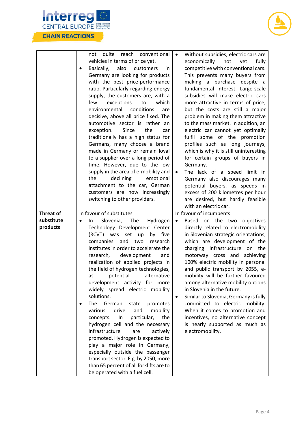



|                                            | reach conventional<br>quite<br>not<br>vehicles in terms of price yet.<br>Basically,<br>also<br>customers<br>in.<br>$\bullet$<br>Germany are looking for products<br>with the best price-performance<br>ratio. Particularly regarding energy<br>supply, the customers are, with a<br>which<br>few<br>exceptions<br>to<br>environmental conditions<br>are<br>decisive, above all price fixed. The<br>automotive sector is rather an<br>exception.<br>Since<br>the<br>car<br>traditionally has a high status for<br>Germans, many choose a brand<br>made in Germany or remain loyal<br>to a supplier over a long period of<br>time. However, due to the low<br>supply in the area of e-mobility and<br>declining<br>emotional<br>the<br>attachment to the car, German<br>customers are now increasingly<br>switching to other providers.                                                | Without subsidies, electric cars are<br>$\bullet$<br>economically<br>not<br>yet<br>fully<br>competitive with conventional cars.<br>This prevents many buyers from<br>making a purchase despite a<br>fundamental interest. Large-scale<br>subsidies will make electric cars<br>more attractive in terms of price,<br>but the costs are still a major<br>problem in making them attractive<br>to the mass market. In addition, an<br>electric car cannot yet optimally<br>fulfil some of the promotion<br>profiles such as long journeys,<br>which is why it is still uninteresting<br>for certain groups of buyers in<br>Germany.<br>The lack of a speed limit in<br>$\bullet$<br>Germany also discourages many<br>potential buyers, as speeds in<br>excess of 200 kilometres per hour<br>are desired, but hardly feasible<br>with an electric car. |
|--------------------------------------------|--------------------------------------------------------------------------------------------------------------------------------------------------------------------------------------------------------------------------------------------------------------------------------------------------------------------------------------------------------------------------------------------------------------------------------------------------------------------------------------------------------------------------------------------------------------------------------------------------------------------------------------------------------------------------------------------------------------------------------------------------------------------------------------------------------------------------------------------------------------------------------------|----------------------------------------------------------------------------------------------------------------------------------------------------------------------------------------------------------------------------------------------------------------------------------------------------------------------------------------------------------------------------------------------------------------------------------------------------------------------------------------------------------------------------------------------------------------------------------------------------------------------------------------------------------------------------------------------------------------------------------------------------------------------------------------------------------------------------------------------------|
|                                            |                                                                                                                                                                                                                                                                                                                                                                                                                                                                                                                                                                                                                                                                                                                                                                                                                                                                                      |                                                                                                                                                                                                                                                                                                                                                                                                                                                                                                                                                                                                                                                                                                                                                                                                                                                    |
| <b>Threat of</b><br>substitute<br>products | In favour of substitutes<br>Slovenia, The<br>Hydrogen<br>In.<br>$\bullet$<br>Technology Development Center<br>(RCVT) was<br>set<br>up<br>by five<br>companies and two<br>research<br>institutes in order to accelerate the<br>development<br>research,<br>and<br>realization of applied projects in<br>the field of hydrogen technologies,<br>as potential alternative<br>development activity for more<br>widely spread electric mobility<br>solutions.<br>The<br>German<br>promotes<br>state<br>drive<br>mobility<br>various<br>and<br>In<br>particular,<br>the<br>concepts.<br>hydrogen cell and the necessary<br>infrastructure<br>actively<br>are<br>promoted. Hydrogen is expected to<br>play a major role in Germany,<br>especially outside the passenger<br>transport sector. E.g. by 2050, more<br>than 65 percent of all forklifts are to<br>be operated with a fuel cell. | In favour of incumbents<br>Based on the two objectives<br>$\bullet$<br>directly related to electromobility<br>in Slovenian strategic orientations,<br>which are development of the<br>charging infrastructure on the<br>motorway cross and achieving<br>100% electric mobility in personal<br>and public transport by 2055, e-<br>mobility will be further favoured<br>among alternative mobility options<br>in Slovenia in the future.<br>Similar to Slovenia, Germany is fully<br>٠<br>committed to electric mobility.<br>When it comes to promotion and<br>incentives, no alternative concept<br>is nearly supported as much as<br>electromobility.                                                                                                                                                                                             |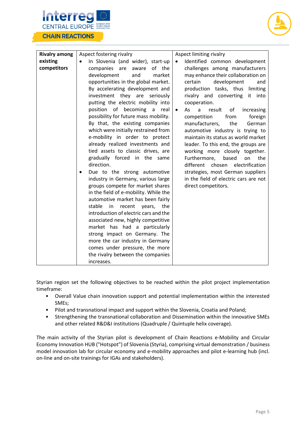



| <b>Rivalry among</b> | Aspect fostering rivalry                       | Aspect limiting rivalry                                       |
|----------------------|------------------------------------------------|---------------------------------------------------------------|
| existing             | In Slovenia (and wider), start-up<br>$\bullet$ | Identified common development<br>$\bullet$                    |
| competitors          | of the                                         |                                                               |
|                      | companies are<br>aware                         | challenges among manufacturers                                |
|                      | development<br>market<br>and                   | may enhance their collaboration on                            |
|                      | opportunities in the global market.            | development<br>certain<br>and                                 |
|                      | By accelerating development and                | production tasks, thus<br>limiting                            |
|                      | investment they are seriously                  | rivalry and converting<br>it into                             |
|                      | putting the electric mobility into             | cooperation.                                                  |
|                      | position of becoming a<br>real                 | As<br>$\mathsf{a}$<br>increasing<br>result<br>of<br>$\bullet$ |
|                      | possibility for future mass mobility.          | foreign<br>competition<br>from                                |
|                      | By that, the existing companies                | the<br>manufacturers,<br>German                               |
|                      | which were initially restrained from           | automotive industry is trying to                              |
|                      | e-mobility in order to protect                 | maintain its status as world market                           |
|                      | already realized investments and               | leader. To this end, the groups are                           |
|                      | tied assets to classic drives, are             | working more closely together.                                |
|                      | gradually forced in the same                   | Furthermore,<br>based<br>on<br>the                            |
|                      | direction.                                     | different<br>chosen<br>electrification                        |
|                      | Due to the strong automotive                   | strategies, most German suppliers                             |
|                      | industry in Germany, various large             | in the field of electric cars are not                         |
|                      | groups compete for market shares               | direct competitors.                                           |
|                      | in the field of e-mobility. While the          |                                                               |
|                      | automotive market has been fairly              |                                                               |
|                      | stable<br>in<br>recent years,<br>the           |                                                               |
|                      | introduction of electric cars and the          |                                                               |
|                      |                                                |                                                               |
|                      | associated new, highly competitive             |                                                               |
|                      | market has had a particularly                  |                                                               |
|                      | strong impact on Germany. The                  |                                                               |
|                      | more the car industry in Germany               |                                                               |
|                      | comes under pressure, the more                 |                                                               |
|                      | the rivalry between the companies              |                                                               |
|                      | increases.                                     |                                                               |

Styrian region set the following objectives to be reached within the pilot project implementation timeframe:

- Overall Value chain innovation support and potential implementation within the interested SMEs;
- Pilot and transnational impact and support within the Slovenia, Croatia and Poland;
- Strengthening the transnational collaboration and Dissemination within the innovative SMEs and other related R&D&I institutions (Quadruple / Quintuple helix coverage).

The main activity of the Styrian pilot is development of Chain Reactions e-Mobility and Circular Economy Innovation HUB ("Hotspot") of Slovenia (Styria), comprising virtual demonstration / business model innovation lab for circular economy and e-mobility approaches and pilot e-learning hub (incl. on-line and on-site trainings for IGAs and stakeholders).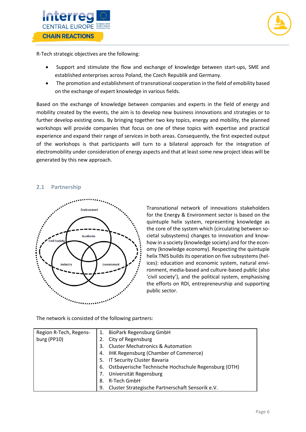



R-Tech strategic objectives are the following:

- Support and stimulate the flow and exchange of knowledge between start-ups, SME and established enterprises across Poland, the Czech Republik and Germany.
- The promotion and establishment of transnational cooperation in the field of emobility based on the exchange of expert knowledge in various fields.

Based on the exchange of knowledge between companies and experts in the field of energy and mobility created by the events, the aim is to develop new business innovations and strategies or to further develop existing ones. By bringing together two key topics, energy and mobility, the planned workshops will provide companies that focus on one of these topics with expertise and practical experience and expand their range of services in both areas. Consequently, the first expected output of the workshops is that participants will turn to a bilateral approach for the integration of electromobility under consideration of energy aspects and that at least some new project ideas will be generated by this new approach.

#### **2.1 Partnership**



Transnational network of innovations stakeholders for the Energy & Environment sector is based on the quintuple helix system, representing knowledge as the core of the system which (circulating between societal subsystems) changes to innovation and knowhow in a society (knowledge society) and for the economy (knowledge economy). Respecting the quintuple helix TNIS builds its operation on five subsystems (helices): education and economic system, natural environment, media-based and culture-based public (also 'civil society'), and the political system, emphasising the efforts on RDI, entrepreneurship and supporting public sector.

The network is consisted of the following partners:

| Region R-Tech, Regens- | 1. | <b>BioPark Regensburg GmbH</b>                       |
|------------------------|----|------------------------------------------------------|
| burg (PP10)            |    | 2. City of Regensburg                                |
|                        | 3. | <b>Cluster Mechatronics &amp; Automation</b>         |
|                        | 4. | IHK Regensburg (Chamber of Commerce)                 |
|                        |    | 5. IT Security Cluster Bavaria                       |
|                        | 6. | Ostbayerische Technische Hochschule Regensburg (OTH) |
|                        | 7. | Universität Regensburg                               |
|                        | 8. | R-Tech GmbH                                          |
|                        | 9. | Cluster Strategische Partnerschaft Sensorik e.V.     |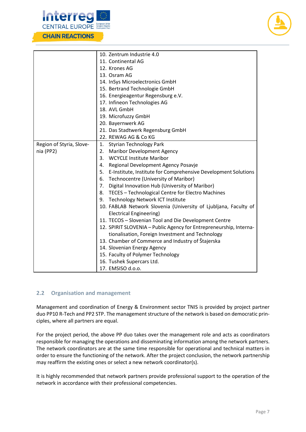



|                          | 10. Zentrum Industrie 4.0                                          |
|--------------------------|--------------------------------------------------------------------|
|                          | 11. Continental AG                                                 |
|                          | 12. Krones AG                                                      |
|                          | 13. Osram AG                                                       |
|                          | 14. InSys Microelectronics GmbH                                    |
|                          | 15. Bertrand Technologie GmbH                                      |
|                          | 16. Energieagentur Regensburg e.V.                                 |
|                          | 17. Infineon Technologies AG                                       |
|                          | 18. AVL GmbH                                                       |
|                          | 19. Microfuzzy GmbH                                                |
|                          | 20. Bayernwerk AG                                                  |
|                          | 21. Das Stadtwerk Regensburg GmbH                                  |
|                          | 22. REWAG AG & Co KG                                               |
| Region of Styria, Slove- | 1. Styrian Technology Park                                         |
| nia (PP2)                | 2. Maribor Development Agency                                      |
|                          | <b>WCYCLE Institute Maribor</b><br>3.                              |
|                          | Regional Development Agency Posavje<br>4.                          |
|                          | 5. E-Institute, Institute for Comprehensive Development Solutions  |
|                          | 6. Technocentre (University of Maribor)                            |
|                          | 7. Digital Innovation Hub (University of Maribor)                  |
|                          | 8. TECES - Technological Centre for Electro Machines               |
|                          | Technology Network ICT Institute<br>9.                             |
|                          | 10. FABLAB Network Slovenia (University of Ljubljana, Faculty of   |
|                          | <b>Electrical Engineering)</b>                                     |
|                          | 11. TECOS - Slovenian Tool and Die Development Centre              |
|                          | 12. SPIRIT SLOVENIA - Public Agency for Entrepreneurship, Interna- |
|                          | tionalisation, Foreign Investment and Technology                   |
|                          | 13. Chamber of Commerce and Industry of Štajerska                  |
|                          | 14. Slovenian Energy Agency                                        |
|                          | 15. Faculty of Polymer Technology                                  |
|                          | 16. Tushek Supercars Ltd.                                          |
|                          | 17. EMSISO d.o.o.                                                  |

### <span id="page-9-0"></span>**2.2 Organisation and management**

Management and coordination of Energy & Environment sector TNIS is provided by project partner duo PP10 R-Tech and PP2 STP. The management structure of the network is based on democratic principles, where all partners are equal.

For the project period, the above PP duo takes over the management role and acts as coordinators responsible for managing the operations and disseminating information among the network partners. The network coordinators are at the same time responsible for operational and technical matters in order to ensure the functioning of the network. After the project conclusion, the network partnership may reaffirm the existing ones or select a new network coordinator(s).

It is highly recommended that network partners provide professional support to the operation of the network in accordance with their professional competencies.